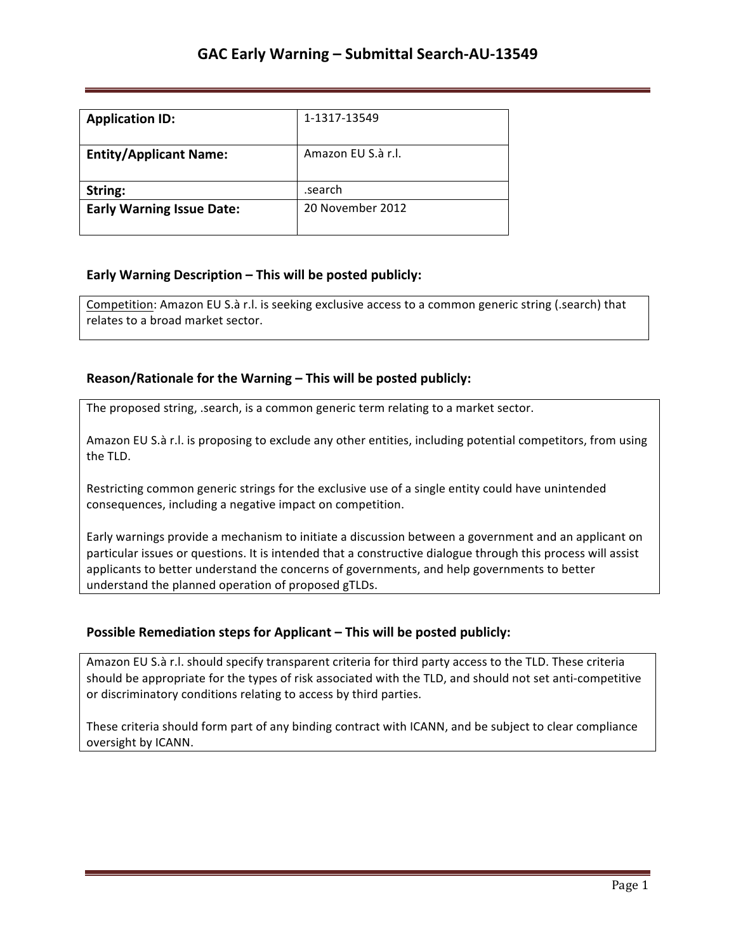| <b>Application ID:</b>           | 1-1317-13549       |
|----------------------------------|--------------------|
| <b>Entity/Applicant Name:</b>    | Amazon EU S.à r.l. |
| String:                          | .search            |
| <b>Early Warning Issue Date:</b> | 20 November 2012   |

## **Early Warning Description – This will be posted publicly:**

Competition: Amazon EU S.à r.l. is seeking exclusive access to a common generic string (.search) that relates to a broad market sector.

## **Reason/Rationale for the Warning – This will be posted publicly:**

The proposed string, .search, is a common generic term relating to a market sector.

Amazon EU S.à r.l. is proposing to exclude any other entities, including potential competitors, from using the TLD.

Restricting common generic strings for the exclusive use of a single entity could have unintended consequences, including a negative impact on competition.

Early warnings provide a mechanism to initiate a discussion between a government and an applicant on particular issues or questions. It is intended that a constructive dialogue through this process will assist applicants to better understand the concerns of governments, and help governments to better understand the planned operation of proposed gTLDs.

### **Possible Remediation steps for Applicant – This will be posted publicly:**

Amazon EU S.à r.l. should specify transparent criteria for third party access to the TLD. These criteria should be appropriate for the types of risk associated with the TLD, and should not set anti-competitive or discriminatory conditions relating to access by third parties.

These criteria should form part of any binding contract with ICANN, and be subject to clear compliance oversight by ICANN.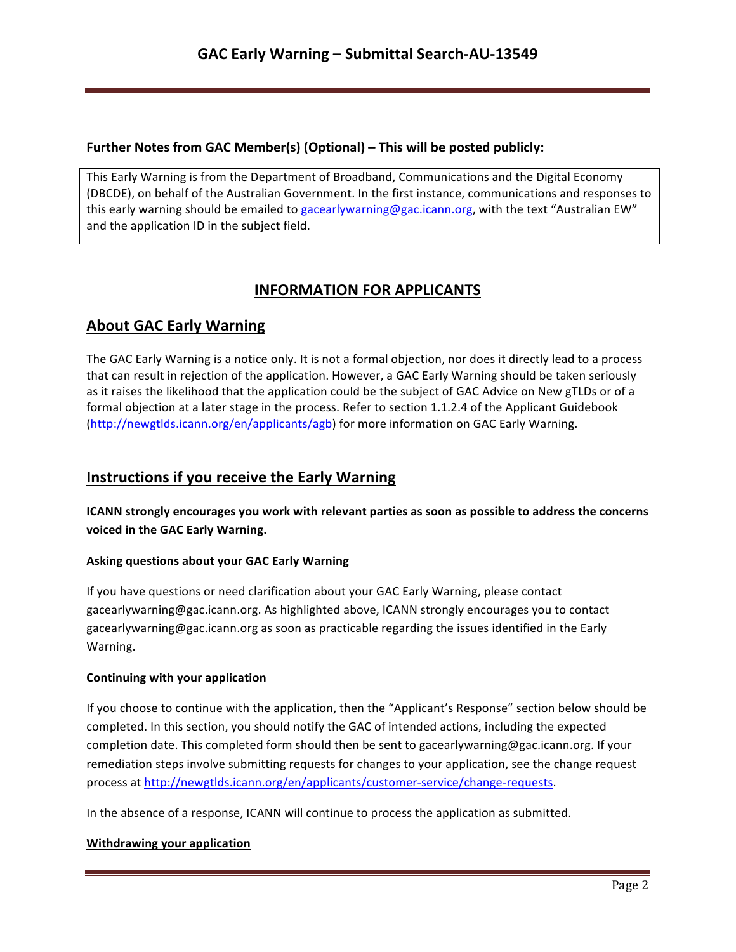## **Further Notes from GAC Member(s) (Optional) – This will be posted publicly:**

This Early Warning is from the Department of Broadband, Communications and the Digital Economy (DBCDE), on behalf of the Australian Government. In the first instance, communications and responses to this early warning should be emailed to gacearlywarning@gac.icann.org, with the text "Australian EW" and the application ID in the subject field.

# **INFORMATION FOR APPLICANTS**

## **About GAC Early Warning**

The GAC Early Warning is a notice only. It is not a formal objection, nor does it directly lead to a process that can result in rejection of the application. However, a GAC Early Warning should be taken seriously as it raises the likelihood that the application could be the subject of GAC Advice on New gTLDs or of a formal objection at a later stage in the process. Refer to section 1.1.2.4 of the Applicant Guidebook (http://newgtlds.icann.org/en/applicants/agb) for more information on GAC Early Warning.

## **Instructions if you receive the Early Warning**

**ICANN** strongly encourages you work with relevant parties as soon as possible to address the concerns voiced in the GAC Early Warning.

### **Asking questions about your GAC Early Warning**

If you have questions or need clarification about your GAC Early Warning, please contact gacearlywarning@gac.icann.org. As highlighted above, ICANN strongly encourages you to contact gacearlywarning@gac.icann.org as soon as practicable regarding the issues identified in the Early Warning. 

### **Continuing with your application**

If you choose to continue with the application, then the "Applicant's Response" section below should be completed. In this section, you should notify the GAC of intended actions, including the expected completion date. This completed form should then be sent to gacearlywarning@gac.icann.org. If your remediation steps involve submitting requests for changes to your application, see the change request process at http://newgtlds.icann.org/en/applicants/customer-service/change-requests.

In the absence of a response, ICANN will continue to process the application as submitted.

### **Withdrawing your application**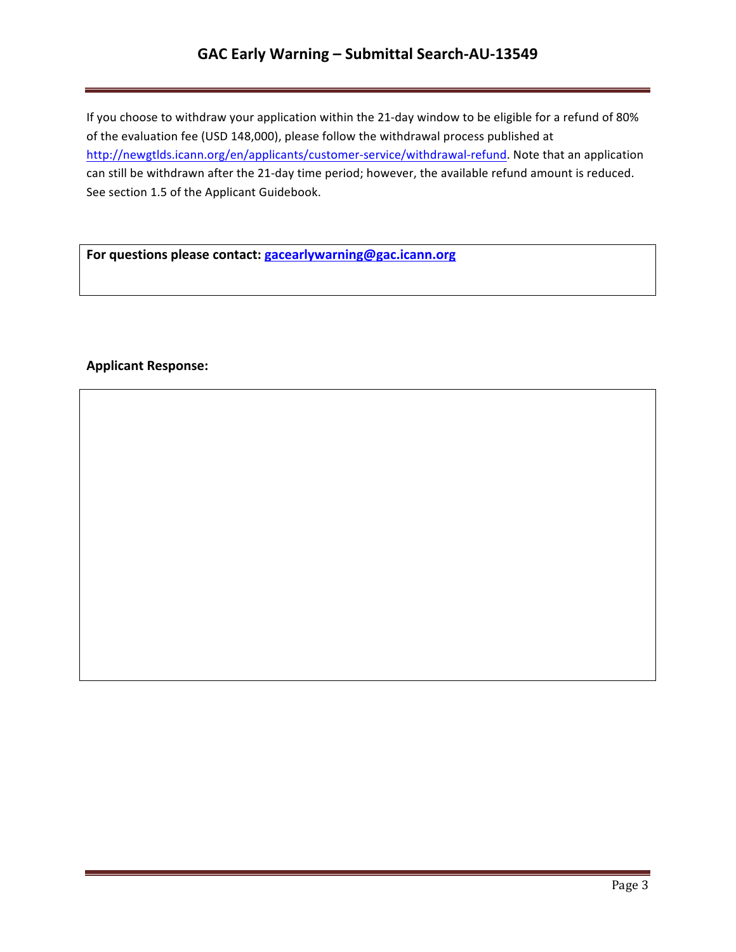# GAC Early Warning - Submittal Search-AU-13549

If you choose to withdraw your application within the 21-day window to be eligible for a refund of 80% of the evaluation fee (USD 148,000), please follow the withdrawal process published at http://newgtlds.icann.org/en/applicants/customer-service/withdrawal-refund. Note that an application can still be withdrawn after the 21-day time period; however, the available refund amount is reduced. See section 1.5 of the Applicant Guidebook.

For questions please contact: **gacearlywarning@gac.icann.org** 

### **Applicant Response:**